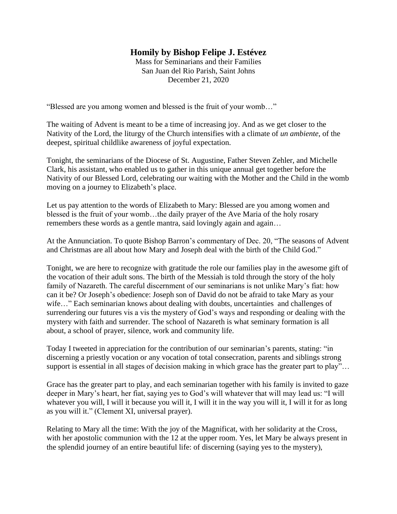## **Homily by Bishop Felipe J. Estévez**

Mass for Seminarians and their Families San Juan del Rio Parish, Saint Johns December 21, 2020

"Blessed are you among women and blessed is the fruit of your womb…"

The waiting of Advent is meant to be a time of increasing joy. And as we get closer to the Nativity of the Lord, the liturgy of the Church intensifies with a climate of *un ambiente*, of the deepest, spiritual childlike awareness of joyful expectation.

Tonight, the seminarians of the Diocese of St. Augustine, Father Steven Zehler, and Michelle Clark, his assistant, who enabled us to gather in this unique annual get together before the Nativity of our Blessed Lord, celebrating our waiting with the Mother and the Child in the womb moving on a journey to Elizabeth's place.

Let us pay attention to the words of Elizabeth to Mary: Blessed are you among women and blessed is the fruit of your womb…the daily prayer of the Ave Maria of the holy rosary remembers these words as a gentle mantra, said lovingly again and again…

At the Annunciation. To quote Bishop Barron's commentary of Dec. 20, "The seasons of Advent and Christmas are all about how Mary and Joseph deal with the birth of the Child God."

Tonight, we are here to recognize with gratitude the role our families play in the awesome gift of the vocation of their adult sons. The birth of the Messiah is told through the story of the holy family of Nazareth. The careful discernment of our seminarians is not unlike Mary's fiat: how can it be? Or Joseph's obedience: Joseph son of David do not be afraid to take Mary as your wife..." Each seminarian knows about dealing with doubts, uncertainties and challenges of surrendering our futures vis a vis the mystery of God's ways and responding or dealing with the mystery with faith and surrender. The school of Nazareth is what seminary formation is all about, a school of prayer, silence, work and community life.

Today I tweeted in appreciation for the contribution of our seminarian's parents, stating: "in discerning a priestly vocation or any vocation of total consecration, parents and siblings strong support is essential in all stages of decision making in which grace has the greater part to play"...

Grace has the greater part to play, and each seminarian together with his family is invited to gaze deeper in Mary's heart, her fiat, saying yes to God's will whatever that will may lead us: "I will whatever you will, I will it because you will it, I will it in the way you will it, I will it for as long as you will it." (Clement XI, universal prayer).

Relating to Mary all the time: With the joy of the Magnificat, with her solidarity at the Cross, with her apostolic communion with the 12 at the upper room. Yes, let Mary be always present in the splendid journey of an entire beautiful life: of discerning (saying yes to the mystery),